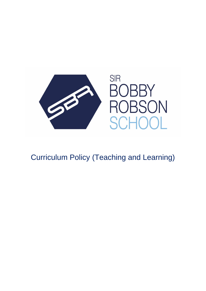

Curriculum Policy (Teaching and Learning)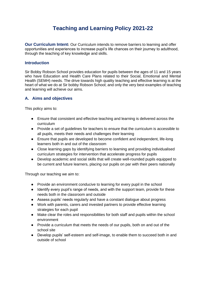# **Teaching and Learning Policy 2021-22**

**Our Curriculum Intent:** Our Curriculum intends to remove barriers to learning and offer opportunities and experiences to increase pupil's life chances on their journey to adulthood, through the teaching of key knowledge and skills.

#### **Introduction**

Sir Bobby Robson School provides education for pupils between the ages of 11 and 15 years who have Education and Health Care Plans related to their Social, Emotional and Mental Health (SEMH) needs. The drive towards high quality teaching and effective learning is at the heart of what we do at Sir bobby Robson School; and only the very best examples of teaching and learning will achieve our aims.

### **A. Aims and objectives**

This policy aims to:

- Ensure that consistent and effective teaching and learning is delivered across the curriculum
- Provide a set of guidelines for teachers to ensure that the curriculum is accessible to all pupils, meets their needs and challenges their learning
- Ensure that pupils are developed to become confident and independent, life-long learners both in and out of the classroom
- Close learning gaps by identifying barriers to learning and providing individualised curriculum strategies for intervention that accelerate progress for pupils
- Develop academic and social skills that will create well-rounded pupils equipped to be current and future learners, placing our pupils on par with their peers nationally

Through our teaching we aim to:

- Provide an environment conducive to learning for every pupil in the school
- Identify every pupil's range of needs, and with the support team, provide for these needs both in the classroom and outside
- Assess pupils' needs regularly and have a constant dialogue about progress
- Work with parents, carers and invested partners to provide effective learning strategies for each pupil
- Make clear the roles and responsibilities for both staff and pupils within the school environment
- Provide a curriculum that meets the needs of our pupils, both on and out of the school site
- Develop pupils' self-esteem and self-image, to enable them to succeed both in and outside of school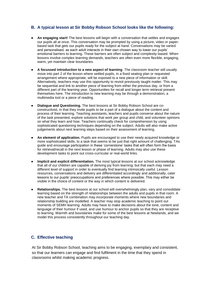## **B. A typical lesson at Sir Bobby Robson School looks like the following:**

- An engaging start! The best lessons will begin with a conversation that settles and engages our pupils all at once. This conversation may be prompted by using a picture, video or paperbased task that gets our pupils ready for the subject at hand. Conversations may be varied and personalised, as each adult interacts in their own chosen way to lower our pupils' emotional barriers to learning. These barriers are often subject and complexity-based. When lessons involve complex learning demands, teachers are often even more flexible, engaging, warm, yet maintain clear boundaries.
- **A focussed introduction to a new aspect of learning**. The classroom teacher will usually move into part 2 of the lesson where settled pupils, in a fixed seating plan or requested arrangement where appropriate, will be exposed to a new piece of information or skill. Alternatively, teachers may use this opportunity to revisit previously taught matter. This may be sequential and link to another piece of learning from either the previous day, or from a different part of the learning year. Opportunities for recall and longer term retrieval present themselves here. The introduction to new learning may be through a demonstration, a multimedia tool or a piece of reading.
- **Dialogue and Questioning.** The best lessons at Sir Bobby Robson School are coconstructivist, in that they invite pupils to be a part of a dialogue about the content and process of their learning. Teaching assistants, teachers and pupils converse about the nature of the task presented, explore solutions that work per group and child, and volunteer opinions on what they learn and how. Teachers continually check for comprehension by using sophisticated questioning techniques depending on the subject. Adults will also make active judgements about next learning steps based on their assessment of learning.
- **An element of application.** Pupils are encouraged to use their newly acquired knowledge or more sophisticated skills, to a task that seems to be just that right amount of challenging. TAs guide and encourage participation in these 'cornerstone' tasks that will often form the basis for retrieval/recall in the next lesson or phase of learning. Adults may also use these development tasks to point out cross-curricular or real-world links.
- **Implicit and explicit differentiation.** The most typical lessons at our school acknowledge that all of our children are capable of deriving joy from learning; but that each may need a different level of support in order to eventually find learning intrinsically useful. Lesson resources, conversations and delivery are differentiated accordingly and additionally, cater lessons to our pupils' preoccupations and preferences where possible. This may either be visible in the choice of content or the way in which content is delivered.
- **Relationships.** The best lessons at our school will overwhelmingly plan, vary and consolidate learning based on the strength of relationships between the adults and pupils in that room. A new teacher and TA combination may incorporate moments where new boundaries and relationship building are modelled. A teacher may stop academic teaching to point out moments of SEMH learning. Adults may have to make decisions about the tone, content and language of their humour if used, and use humour to anchor pupils so that they are receptive to learning. Warmth and boundaries make for some of the best lessons at Newlands, and we model this process consistently throughout our teaching day.

## **C. Effective teaching**

At Sir Bobby Robson School, teaching aims to be engaging, exemplary and consistent, so that our learners can engage and find fulfilment in the time that they spend in classrooms whilst making academic progress.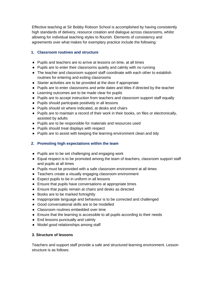Effective teaching at Sir Bobby Robson School is accomplished by having consistently high standards of delivery, resource creation and dialogue across classrooms, whilst allowing for individual teaching styles to flourish. Elements of consistency and agreements over what makes for exemplary practice include the following:

## **1. Classroom routines and structure**

- Pupils and teachers are to arrive at lessons on time, at all times
- Pupils are to enter their classrooms quietly and calmly with no running
- The teacher and classroom support staff coordinate with each other to establish routines for entering and exiting classrooms
- Starter activities are to be provided at the door if appropriate
- Pupils are to enter classrooms and write dates and titles if directed by the teacher
- Learning outcomes are to be made clear for pupils
- Pupils are to accept instruction from teachers and classroom support staff equally
- Pupils should participate positively in all lessons
- Pupils should sit where indicated, at desks and chairs
- Pupils are to maintain a record of their work in their books, on files or electronically, assisted by adults
- Pupils are to be responsible for materials and resources used
- Pupils should treat displays with respect
- Pupils are to assist with keeping the learning environment clean and tidy

## **2. Promoting high expectations within the team**

- Pupils are to be set challenging and engaging work
- Equal respect is to be promoted among the team of teachers, classroom support staff and pupils at all times
- Pupils must be provided with a safe classroom environment at all times
- Teachers create a visually engaging classroom environment
- Expect pupils to be in uniform in all lessons
- Ensure that pupils have conversations at appropriate times
- Ensure that pupils remain at chairs and desks as directed
- Books are to be marked fortnightly
- Inappropriate language and behaviour is to be corrected and challenged
- Good conversational skills are to be modelled
- Classroom routines embedded over time
- Ensure that the learning is accessible to all pupils according to their needs
- End lessons punctually and calmly
- Model good relationships among staff

### **3. Structure of lessons**

Teachers and support staff provide a safe and structured learning environment. Lesson structure is as follows: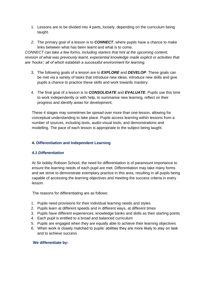- 1. Lessons are to be divided into 4 parts, loosely, depending on the curriculum being taught.
- *2.* The primary goal of a lesson is to *CONNECT*, where pupils have a chance to make links between what has been learnt and what is to come.

*CONNECT can take a few forms, including starters that hint at the upcoming content, revision of what was previously learnt, experiential knowledge made explicit or activities that are 'hooks'; all of which establish a successful environment for learning.*

- 3. The following goals of a lesson are to *EXPLORE* and *DEVELOP*. These goals can be met via a variety of tasks that introduce new ideas, introduce new skills and give pupils a chance to practice these skills and work towards mastery.
- 4. The final goal of a lesson is to *CONSOLIDATE* and *EVALUATE*. Pupils use this time to work independently or with help, to summarise new learning, reflect on their progress and identify areas for development.

These 4 stages may sometimes be spread over more than one lesson, allowing for conceptual understanding to take place. Pupils access learning within lessons from a number of sources, including texts, audio-visual tools, and demonstrations and modelling. The pace of each lesson is appropriate to the subject being taught.

### **4. Differentiation and Independent Learning**

### *4.1 Differentiation*

At Sir bobby Robson School, the need for differentiation is of paramount importance to ensure the learning needs of each pupil are met. Differentiation may take many forms and we strive to demonstrate exemplary practice in this area, resulting in all pupils being capable of accessing the learning objectives and meeting the success criteria in every lesson.

The reasons for differentiating are as follows:

- 1. Pupils need provisions for their individual learning needs and styles
- 2. Pupils learn at different speeds and in different ways, at different times
- 3. Pupils have different experiences, knowledge banks and skills as their starting points
- 4. Each pupil is entitled to a broad and balanced curriculum
- 5. Pupils are engaged when they are equally able to achieve their learning objectives
- 6. When work is closely matched to pupils' abilities they are more likely to stay on task and to achieve success

#### **We differentiate by:**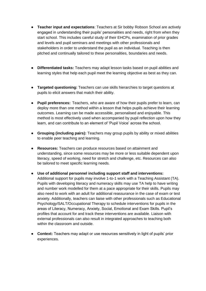- **Teacher input and expectations**: Teachers at Sir bobby Robson School are actively engaged in understanding their pupils' personalities and needs, right from when they start school. This includes careful study of their EHCPs, examination of prior grades and levels and pupil seminars and meetings with other professionals and stakeholders in order to understand the pupil as an individual. Teaching is then pitched and continually tailored to these personalities, boundaries and needs.
- **Differentiated tasks:** Teachers may adapt lesson tasks based on pupil abilities and learning styles that help each pupil meet the learning objective as best as they can.
- **Targeted questioning:** Teachers can use skills hierarchies to target questions at pupils to elicit answers that match their ability.
- **Pupil preferences:** Teachers, who are aware of how their pupils prefer to learn, can deploy more than one method within a lesson that helps pupils achieve their learning outcomes. Learning can be made accessible, personalised and enjoyable. This method is most effectively used when accompanied by pupil reflection upon how they learn, and can contribute to an element of 'Pupil Voice' across the school.
- **Grouping (including pairs):** Teachers may group pupils by ability or mixed abilities to enable peer teaching and learning.
- **Resources:** Teachers can produce resources based on attainment and understanding, since some resources may be more or less suitable dependent upon literacy, speed of working, need for stretch and challenge, etc. Resources can also be tailored to meet specific learning needs.
- **Use of additional personnel including support staff and interventions:**  Additional support for pupils may involve 1-to-1 work with a Teaching Assistant (TA). Pupils with developing literacy and numeracy skills may use TA help to have writing and number work modelled for them at a pace appropriate for their skills. Pupils may also need to work with an adult for additional reassurance in the case of exam or test anxiety. Additionally, teachers can liaise with other professionals such as Educational Psychology/SALT/Occupational Therapy to schedule interventions for pupils in the areas of Literacy, Numeracy, Anxiety, Social, Emotional and Exam Skills. Pupil's profiles that account for and track these interventions are available. Liaison with external professionals can also result in integrated approaches to teaching both within the classroom and outside.
- **Context:** Teachers may adapt or use resources sensitively in light of pupils' prior experiences.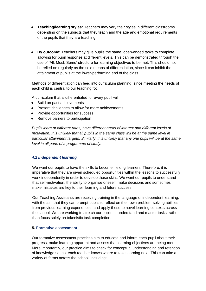- **Teaching/learning styles:** Teachers may vary their styles in different classrooms depending on the subjects that they teach and the age and emotional requirements of the pupils that they are teaching.
- **By outcome:** Teachers may give pupils the same, open-ended tasks to complete, allowing for pupil response at different levels. This can be demonstrated through the use of 'All, Most, Some' structure for learning objectives to be met. This should not be relied on regularly as the sole means of differentiation, since it can inhibit the attainment of pupils at the lower-performing end of the class.

Methods of differentiation can feed into curriculum planning, since meeting the needs of each child is central to our teaching foci.

A curriculum that is differentiated for every pupil will:

- Build on past achievements
- Present challenges to allow for more achievements
- Provide opportunities for success
- Remove barriers to participation

*Pupils learn at different rates, have different areas of interest and different levels of motivation. It is unlikely that all pupils in the same class will be at the same level in particular attainment targets. Similarly, it is unlikely that any one pupil will be at the same level in all parts of a programme of study.*

#### *4.2 Independent learning*

We want our pupils to have the skills to become lifelong learners. Therefore, it is imperative that they are given scheduled opportunities within the lessons to successfully work independently in order to develop those skills. We want our pupils to understand that self-motivation, the ability to organise oneself, make decisions and sometimes make mistakes are key to their learning and future success.

Our Teaching Assistants are receiving training in the language of independent learning, with the aim that they can prompt pupils to reflect on their own problem-solving abilities from previous learning experiences, and apply these to novel learning contexts across the school. We are working to stretch our pupils to understand and master tasks, rather than focus solely on tokenistic task completion.

#### **5. Formative assessment**

Our formative assessment practices aim to educate and inform each pupil about their progress, make learning apparent and assess that learning objectives are being met. More importantly, our practice aims to check for conceptual understanding and retention of knowledge so that each teacher knows where to take learning next. This can take a variety of forms across the school, including: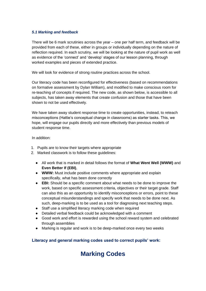#### *5.1 Marking and feedback*

There will be 6 mark scrutinies across the year – one per half term, and feedback will be provided from each of these, either in groups or individually depending on the nature of reflection required. In each scrutiny, we will be looking at the nature of pupil work as well as evidence of the 'connect' and 'develop' stages of our lesson planning, through worked examples and pieces of extended practice.

We will look for evidence of strong routine practices across the school.

Our literacy code has been reconfigured for effectiveness (based on recommendations on formative assessment by Dylan William), and modified to make conscious room for re-teaching of concepts if required. The new code, as shown below, is accessible to all subjects, has taken away elements that create confusion and those that have been shown to not be used effectively.

We have taken away student response time to create opportunities, instead, to reteach misconceptions (Hattie's conceptual change in classrooms) as starter tasks. This, we hope, will engage our pupils directly and more effectively than previous models of student response time.

In addition:

- 1. Pupils are to know their targets where appropriate
- 2. Marked classwork is to follow these guidelines:
	- All work that is marked in detail follows the format of **What Went Well (WWW)** and **Even Better If (EBI)**,
	- **WWW:** Must include positive comments where appropriate and explain specifically, what has been done correctly
	- **EBI:** Should be a specific comment about what needs to be done to improve the work, based on specific assessment criteria, objectives or their target grade. Staff can also this as an opportunity to identify misconceptions or errors, point to these conceptual misunderstandings and specify work that needs to be done next. As such, deep-marking is to be used as a tool for diagnosing next teaching steps.
	- Staff use a simplified literacy marking code when required
	- Detailed verbal feedback could be acknowledged with a comment
	- Good work and effort is rewarded using the school reward system and celebrated through assemblies
	- Marking is regular and work is to be deep-marked once every two weeks

## **Literacy and general marking codes used to correct pupils' work:**

# **Marking Codes**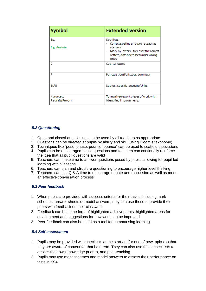| <b>Symbol</b>               | <b>Extended version</b>                                                                                                                                 |
|-----------------------------|---------------------------------------------------------------------------------------------------------------------------------------------------------|
| Sp.<br>E.g. Anatote         | Spellings<br>Collect spelling errors to reteach as<br>starters<br>Mark by letters-tick over the correct<br>letters, dots or crosses under wrong<br>ones |
| c                           | Capital letters                                                                                                                                         |
| P                           | Punctuation (Full stops, commas)                                                                                                                        |
| SL/U                        | Subject-specific language/Units                                                                                                                         |
| Advanced:<br>Redraft/Rework | To rewrite/rework pieces of work with<br>identified improvements                                                                                        |

## *5.2 Questioning*

- 1. Open and closed questioning is to be used by all teachers as appropriate
- 2. Questions can be directed at pupils by ability and skill (using Bloom's taxonomy)
- 3. Techniques like "pose, pause, pounce, bounce" can be used to scaffold discussions
- 4. Pupils can be encouraged to ask questions and teachers can continually reinforce the idea that all pupil questions are valid
- 5. Teachers can make time to answer questions posed by pupils, allowing for pupil-led learning within lessons
- 6. Teachers can plan and structure questioning to encourage higher level thinking
- 7. Teachers can use Q & A time to encourage debate and discussion as well as model an effective conversation process

#### *5.3 Peer feedback*

- 1. When pupils are provided with success criteria for their tasks, including mark schemes, answer sheets or model answers, they can use these to provide their peers with feedback on their classwork
- 2. Feedback can be in the form of highlighted achievements, highlighted areas for development and suggestions for how work can be improved
- 3. Peer feedback can also be used as a tool for summarising learning

#### *5.4 Self-assessment*

- 1. Pupils may be provided with checklists at the start and/or end of new topics so that they are aware of content for that half-term. They can also use these checklists to assess their own knowledge prior to, and post-teaching.
- 2. Pupils may use mark schemes and model answers to assess their performance on tests in KS4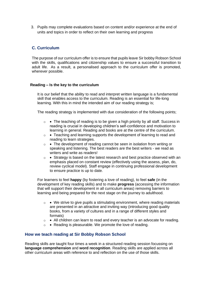3. Pupils may complete evaluations based on content and/or experience at the end of units and topics in order to reflect on their own learning and progress

## **C. Curriculum**

The purpose of our curriculum offer is to ensure that pupils leave Sir bobby Robson School with the skills, qualifications and citizenship values to ensure a successful transition to adult life. As a result, a personalised approach to the curriculum offer is promoted, wherever possible.

#### **Reading – Is the key to the curriculum**

It is our belief that the ability to read and interpret written language is a fundamental skill that enables access to the curriculum. Reading is an essential for life-long learning. With this in mind the intended aim of our reading strategy is;

The reading strategy is implemented with due consideration of the following points;

- o The teaching of reading is to be given a high priority by all staff. Success in reading is crucial in developing children's self-confidence and motivation to learning in general. Reading and books are at the centre of the curriculum.
- $\circ \bullet$  Teaching and learning supports the development of learning to read and reading to learn strategies.
- $\circ \bullet$  The development of reading cannot be seen in isolation from writing or speaking and listening. The best readers are the best writers - we read as writers and write as readers!
- $\circ \bullet$  Strategy is based on the latest research and best practice observed with an emphasis placed on constant review (effectively using the assess, plan, do, review cyclical model). Staff engage in continuing professional development to ensure practice is up to date.

For learners to feel **happy** (by fostering a love of reading), to feel **safe** (in the development of key reading skills) and to make **progress** (accessing the information that will support their development in all curriculum areas) removing barriers to learning and being prepared for the next stage on the journey to adulthood.

- $\circ \bullet$  We strive to give pupils a stimulating environment, where reading materials are presented in an attractive and inviting way (introducing good quality books, from a variety of cultures and in a range of different styles and formats)
- $\circ$  All children can learn to read and every teacher is an advocate for reading.
- $\circ \bullet$  Reading is pleasurable. We promote the love of reading.

### **How we teach reading at Sir Bobby Robson School**

Reading skills are taught four times a week in a structured reading session focussing on **language comprehension** and **word recognition**. Reading skills are applied across all other curriculum areas with reference to and reflection on the use of those skills.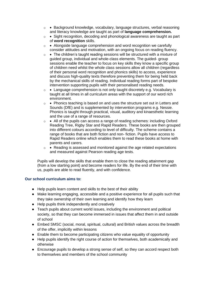- o Background knowledge, vocabulary, language structures, verbal reasoning and literacy knowledge are taught as part of **language comprehension.**
- o Sight recognition, decoding and phonological awareness are taught as part of **word recognition** skills.
- $\circ$  Alongside language comprehension and word recognition we carefully consider attitudes and motivation, with an ongoing focus on reading fluency.
- $\circ$  The children's taught reading sessions will be structured with a mixture of guided group, individual and whole-class elements. The guided- group sessions enable the teacher to focus on key skills they know a specific group of children need whilst the whole class sessions allow all children (regardless of their personal word recognition and phonics skills) to access, experience and discuss high-quality texts therefore preventing them for being held back by the mechanical skills of reading. Individual reading forms part of bespoke intervention supporting pupils with their personalised reading needs.
- $\circ$  Language comprehension is not only taught discretely e.g. Vocabulary is taught at all times in all curriculum areas with the support of our word rich environment.
- o Phonics teaching is based on and uses the structure set out in Letters and Sounds (DfE) and is supplemented by intervention programs e.g. Nessie. Phonics is taught through practical, visual, auditory and kinaesthetic learning and the use of a range of resources.
- $\circ$  All of the pupils can access a range of reading schemes: including Oxford Reading Tree, Rigby Star and Rapid Readers. These books are then grouped into different colours according to level of difficulty. The scheme contains a range of books that are both fiction and non- fiction. Pupils have access to Rapid Readers online which enables them to read these books at home with parents and carers.
- $\circ \bullet$  Reading is assessed and monitored against the age related expectations and measured against Pearson reading age tests.

Pupils will develop the skills that enable them to close the reading attainment gap (from a low starting point) and become readers for life. By the end of their time with us, pupils are able to read fluently, and with confidence.

### **Our school curriculum aims to:**

- Help pupils learn content and skills to the best of their ability
- Make learning engaging, accessible and a positive experience for all pupils such that they take ownership of their own learning and identify how they learn
- Help pupils think independently and creatively
- Teach pupils about current world issues, including the environment and political society, so that they can become immersed in issues that affect them in and outside of school
- Embed SMSC (social, moral, spiritual, cultural) and British values across the breadth of the offer, implicitly within lessons
- Enable them to become participating citizens who value equality of opportunity
- Help pupils identify the right course of action for themselves, both academically and otherwise
- Encourage pupils to develop a strong sense of self, so they can accord respect both to themselves and members of the school community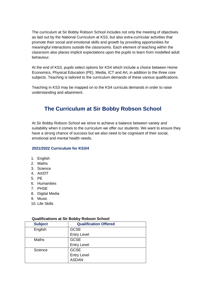The curriculum at Sir Bobby Robson School includes not only the meeting of objectives as laid out by the National Curriculum at KS3, but also extra-curricular activities that promote their social and emotional skills and growth by providing opportunities for meaningful interactions outside the classrooms. Each element of teaching within the classroom also places implicit expectations upon the pupils to learn from modelled adult behaviour.

At the end of KS3, pupils select options for KS4 which include a choice between Home Economics, Physical Education (PE), Media, ICT and Art, in addition to the three core subjects. Teaching is tailored to the curriculum demands of these various qualifications.

Teaching in KS3 may be mapped on to the KS4 curricula demands in order to raise understanding and attainment.

## **The Curriculum at Sir Bobby Robson School**

At Sir Bobby Robson School we strive to achieve a balance between variety and suitability when it comes to the curriculum we offer our students. We want to ensure they have a strong chance of success but we also need to be cognisant of their social, emotional and mental health needs.

#### **2021/2022 Curriculum for KS3/4**

- 1. English
- 2. Maths
- 3. Science
- 4. Art/DT
- 5. PE
- 6. Humanities
- 7. PHSE
- 8. Digital Media
- 9. Music
- 10. Life Skills

| <b>Subject</b> | <b>Qualification Offered</b> |
|----------------|------------------------------|
| English        | <b>GCSE</b>                  |
|                | <b>Entry Level</b>           |
| <b>Maths</b>   | <b>GCSE</b>                  |
|                | <b>Entry Level</b>           |
| Science        | <b>GCSE</b>                  |
|                | <b>Entry Level</b>           |
|                | <b>ASDAN</b>                 |

#### **Qualifications at Sir Bobby Robson School**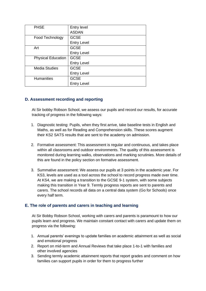| <b>PHSE</b>               | Entry level        |
|---------------------------|--------------------|
|                           | <b>ASDAN</b>       |
| Food Technology           | <b>GCSE</b>        |
|                           | <b>Entry Level</b> |
| Art                       | <b>GCSE</b>        |
|                           | <b>Entry Level</b> |
| <b>Physical Education</b> | <b>GCSE</b>        |
|                           | <b>Entry Level</b> |
| <b>Media Studies</b>      | <b>GCSE</b>        |
|                           | <b>Entry Level</b> |
| <b>Humanities</b>         | <b>GCSE</b>        |
|                           | <b>Entry Level</b> |

## **D. Assessment recording and reporting**

At Sir bobby Robson School, we assess our pupils and record our results, for accurate tracking of progress in the following ways:

- 1. Diagnostic testing: Pupils, when they first arrive, take baseline tests in English and Maths, as well as for Reading and Comprehension skills. These scores augment their KS2 SATS results that are sent to the academy on admission.
- 2. Formative assessment: This assessment is regular and continuous, and takes place within all classrooms and outdoor environments. The quality of this assessment is monitored during learning walks, observations and marking scrutinies. More details of this are found in the policy section on formative assessment.
- 3. Summative assessment: We assess our pupils at 3 points in the academic year. For KS3, levels are used as a tool across the school to record progress made over time. At KS4, we are making a transition to the GCSE 9-1 system, with some subjects making this transition in Year 9. Termly progress reports are sent to parents and carers. The school records all data on a central data system (Go for Schools) once every half term.

## **E. The role of parents and carers in teaching and learning**

At Sir Bobby Robson School, working with carers and parents is paramount to how our pupils learn and progress. We maintain constant contact with carers and update them on progress via the following:

- 1. Annual parents' evenings to update families on academic attainment as well as social and emotional progress
- 2. Report on mid-term and Annual Reviews that take place 1-to-1 with families and other involved agencies
- 3. Sending termly academic attainment reports that report grades and comment on how families can support pupils in order for them to progress further